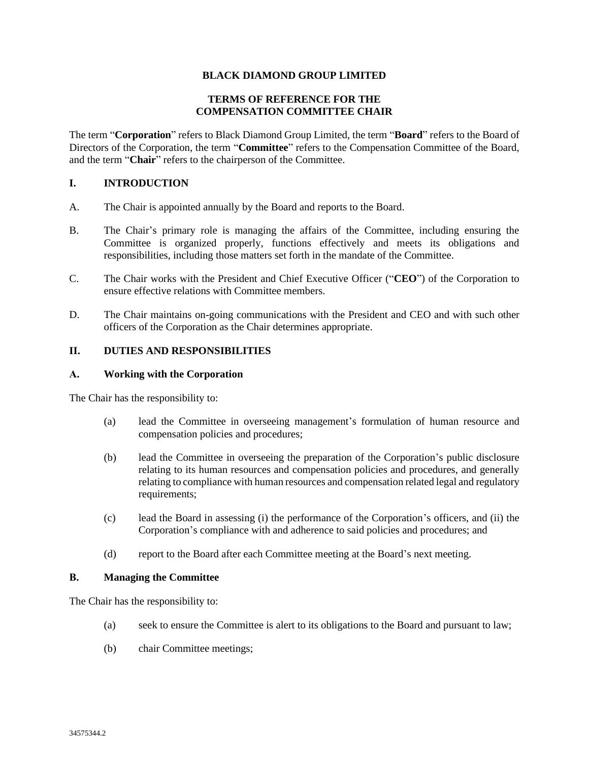## **BLACK DIAMOND GROUP LIMITED**

## **TERMS OF REFERENCE FOR THE COMPENSATION COMMITTEE CHAIR**

The term "**Corporation**" refers to Black Diamond Group Limited, the term "**Board**" refers to the Board of Directors of the Corporation, the term "**Committee**" refers to the Compensation Committee of the Board, and the term "**Chair**" refers to the chairperson of the Committee.

### **I. INTRODUCTION**

- A. The Chair is appointed annually by the Board and reports to the Board.
- B. The Chair's primary role is managing the affairs of the Committee, including ensuring the Committee is organized properly, functions effectively and meets its obligations and responsibilities, including those matters set forth in the mandate of the Committee.
- C. The Chair works with the President and Chief Executive Officer ("**CEO**") of the Corporation to ensure effective relations with Committee members.
- D. The Chair maintains on-going communications with the President and CEO and with such other officers of the Corporation as the Chair determines appropriate.

# **II. DUTIES AND RESPONSIBILITIES**

### **A. Working with the Corporation**

The Chair has the responsibility to:

- (a) lead the Committee in overseeing management's formulation of human resource and compensation policies and procedures;
- (b) lead the Committee in overseeing the preparation of the Corporation's public disclosure relating to its human resources and compensation policies and procedures, and generally relating to compliance with human resources and compensation related legal and regulatory requirements;
- (c) lead the Board in assessing (i) the performance of the Corporation's officers, and (ii) the Corporation's compliance with and adherence to said policies and procedures; and
- (d) report to the Board after each Committee meeting at the Board's next meeting.

### **B. Managing the Committee**

The Chair has the responsibility to:

- (a) seek to ensure the Committee is alert to its obligations to the Board and pursuant to law;
- (b) chair Committee meetings;